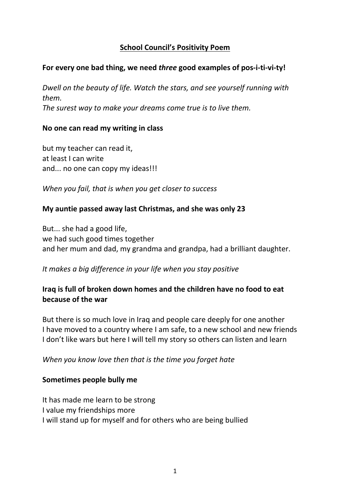## **School Council's Positivity Poem**

#### **For every one bad thing, we need** *three* **good examples of pos-i-ti-vi-ty!**

*Dwell on the beauty of life. Watch the stars, and see yourself running with them. The surest way to make your dreams come true is to live them.*

#### **No one can read my writing in class**

but my teacher can read it, at least I can write and... no one can copy my ideas!!!

*When you fail, that is when you get closer to success*

#### **My auntie passed away last Christmas, and she was only 23**

But... she had a good life, we had such good times together and her mum and dad, my grandma and grandpa, had a brilliant daughter.

#### *It makes a big difference in your life when you stay positive*

## **Iraq is full of broken down homes and the children have no food to eat because of the war**

But there is so much love in Iraq and people care deeply for one another I have moved to a country where I am safe, to a new school and new friends I don't like wars but here I will tell my story so others can listen and learn

*When you know love then that is the time you forget hate*

#### **Sometimes people bully me**

It has made me learn to be strong I value my friendships more I will stand up for myself and for others who are being bullied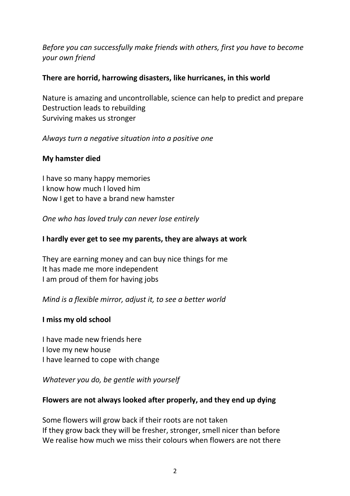# *Before you can successfully make friends with others, first you have to become your own friend*

## **There are horrid, harrowing disasters, like hurricanes, in this world**

Nature is amazing and uncontrollable, science can help to predict and prepare Destruction leads to rebuilding Surviving makes us stronger

## *Always turn a negative situation into a positive one*

## **My hamster died**

I have so many happy memories I know how much I loved him Now I get to have a brand new hamster

*One who has loved truly can never lose entirely*

## **I hardly ever get to see my parents, they are always at work**

They are earning money and can buy nice things for me It has made me more independent I am proud of them for having jobs

*Mind is a flexible mirror, adjust it, to see a better world*

#### **I miss my old school**

I have made new friends here I love my new house I have learned to cope with change

*Whatever you do, be gentle with yourself*

## **Flowers are not always looked after properly, and they end up dying**

Some flowers will grow back if their roots are not taken If they grow back they will be fresher, stronger, smell nicer than before We realise how much we miss their colours when flowers are not there